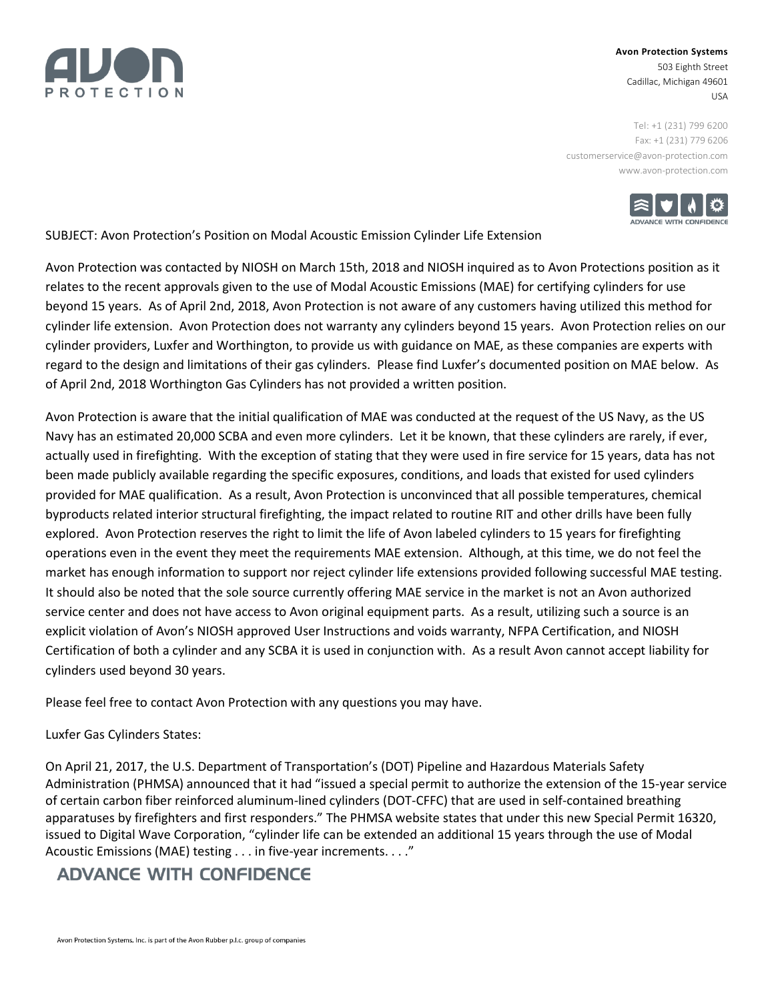

## **Avon Protection Systems** 503 Eighth Street Cadillac, Michigan 49601 USA

Tel: +1 (231) 799 6200 Fax: +1 (231) 779 6206 [customerservice@avon-protection.com](mailto:customerservice@avon-protection.com) www.avon-protection.com



SUBJECT: Avon Protection's Position on Modal Acoustic Emission Cylinder Life Extension

Avon Protection was contacted by NIOSH on March 15th, 2018 and NIOSH inquired as to Avon Protections position as it relates to the recent approvals given to the use of Modal Acoustic Emissions (MAE) for certifying cylinders for use beyond 15 years. As of April 2nd, 2018, Avon Protection is not aware of any customers having utilized this method for cylinder life extension. Avon Protection does not warranty any cylinders beyond 15 years. Avon Protection relies on our cylinder providers, Luxfer and Worthington, to provide us with guidance on MAE, as these companies are experts with regard to the design and limitations of their gas cylinders. Please find Luxfer's documented position on MAE below. As of April 2nd, 2018 Worthington Gas Cylinders has not provided a written position.

Avon Protection is aware that the initial qualification of MAE was conducted at the request of the US Navy, as the US Navy has an estimated 20,000 SCBA and even more cylinders. Let it be known, that these cylinders are rarely, if ever, actually used in firefighting. With the exception of stating that they were used in fire service for 15 years, data has not been made publicly available regarding the specific exposures, conditions, and loads that existed for used cylinders provided for MAE qualification. As a result, Avon Protection is unconvinced that all possible temperatures, chemical byproducts related interior structural firefighting, the impact related to routine RIT and other drills have been fully explored. Avon Protection reserves the right to limit the life of Avon labeled cylinders to 15 years for firefighting operations even in the event they meet the requirements MAE extension. Although, at this time, we do not feel the market has enough information to support nor reject cylinder life extensions provided following successful MAE testing. It should also be noted that the sole source currently offering MAE service in the market is not an Avon authorized service center and does not have access to Avon original equipment parts. As a result, utilizing such a source is an explicit violation of Avon's NIOSH approved User Instructions and voids warranty, NFPA Certification, and NIOSH Certification of both a cylinder and any SCBA it is used in conjunction with. As a result Avon cannot accept liability for cylinders used beyond 30 years.

Please feel free to contact Avon Protection with any questions you may have.

Luxfer Gas Cylinders States:

On April 21, 2017, the U.S. Department of Transportation's (DOT) Pipeline and Hazardous Materials Safety Administration (PHMSA) announced that it had "issued a special permit to authorize the extension of the 15-year service of certain carbon fiber reinforced aluminum-lined cylinders (DOT-CFFC) that are used in self-contained breathing apparatuses by firefighters and first responders." The PHMSA website states that under this new Special Permit 16320, issued to Digital Wave Corporation, "cylinder life can be extended an additional 15 years through the use of Modal Acoustic Emissions (MAE) testing . . . in five-year increments. . . ."

## **ADVANCE WITH CONFIDENCE**